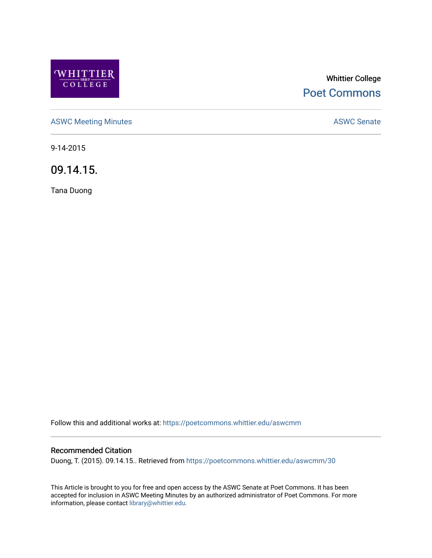

# Whittier College [Poet Commons](https://poetcommons.whittier.edu/)

[ASWC Meeting Minutes](https://poetcommons.whittier.edu/aswcmm) **ASWC Senate** 

9-14-2015

09.14.15.

Tana Duong

Follow this and additional works at: [https://poetcommons.whittier.edu/aswcmm](https://poetcommons.whittier.edu/aswcmm?utm_source=poetcommons.whittier.edu%2Faswcmm%2F30&utm_medium=PDF&utm_campaign=PDFCoverPages)

## Recommended Citation

Duong, T. (2015). 09.14.15.. Retrieved from [https://poetcommons.whittier.edu/aswcmm/30](https://poetcommons.whittier.edu/aswcmm/30?utm_source=poetcommons.whittier.edu%2Faswcmm%2F30&utm_medium=PDF&utm_campaign=PDFCoverPages) 

This Article is brought to you for free and open access by the ASWC Senate at Poet Commons. It has been accepted for inclusion in ASWC Meeting Minutes by an authorized administrator of Poet Commons. For more information, please contact [library@whittier.edu.](mailto:library@whittier.edu)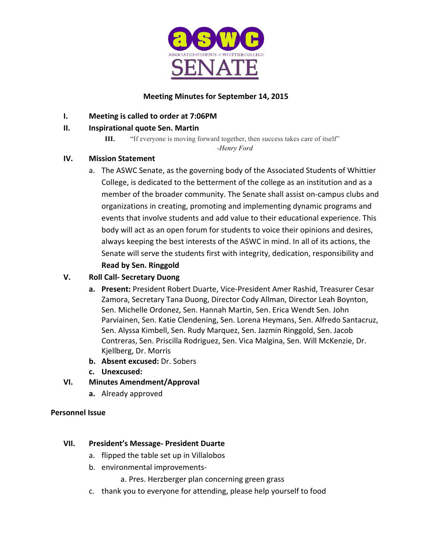

# **Meeting Minutes for September 14, 2015**

**I.** Meeting is called to order at 7:06PM

# **II. Inspirational quote Sen. Martin**

**III.** "If everyone is moving forward together, then success takes care of itself"

*-Henry Ford*

# **IV. Mission Statement**

a. The ASWC Senate, as the governing body of the Associated Students of Whittier College, is dedicated to the betterment of the college as an institution and as a member of the broader community. The Senate shall assist on-campus clubs and organizations in creating, promoting and implementing dynamic programs and events that involve students and add value to their educational experience. This body will act as an open forum for students to voice their opinions and desires, always keeping the best interests of the ASWC in mind. In all of its actions, the Senate will serve the students first with integrity, dedication, responsibility and

# **Read by Sen. Ringgold**

# **V. Roll Call- Secretary Duong**

- **a.** Present: President Robert Duarte, Vice-President Amer Rashid, Treasurer Cesar Zamora, Secretary Tana Duong, Director Cody Allman, Director Leah Boynton, Sen. Michelle Ordonez, Sen. Hannah Martin, Sen. Erica Wendt Sen. John Parviainen, Sen. Katie Clendening, Sen. Lorena Heymans, Sen. Alfredo Santacruz, Sen. Alyssa Kimbell, Sen. Rudy Marquez, Sen. Jazmin Ringgold, Sen. Jacob Contreras, Sen. Priscilla Rodriguez, Sen. Vica Malgina, Sen. Will McKenzie, Dr. Kjellberg, Dr. Morris
- **b.** Absent excused: Dr. Sobers
- **c. Unexcused:**

# **VI. Minutes Amendment/Approval**

**a.** Already approved

# **Personnel Issue**

# **VII. President's Message- President Duarte**

- a. flipped the table set up in Villalobos
- b. environmental improvements-

a. Pres. Herzberger plan concerning green grass

c. thank you to everyone for attending, please help yourself to food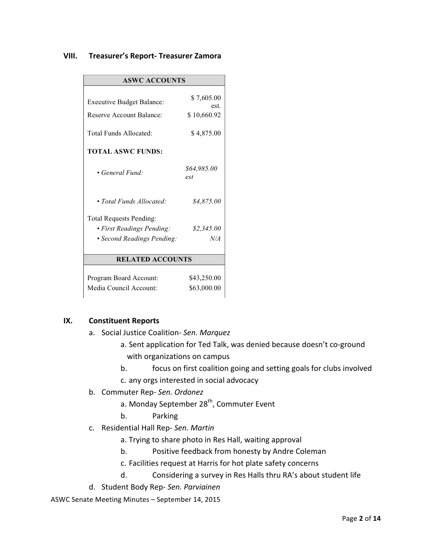#### **VIII. Treasurer's Report- Treasurer Zamora**

| <b>ASWC ACCOUNTS</b>             |                    |
|----------------------------------|--------------------|
| <b>Executive Budget Balance:</b> | \$7,605.00<br>est  |
| Reserve Account Balance:         | \$10,660.92        |
| Total Funds Allocated:           | \$4,875.00         |
| <b>TOTAL ASWC FUNDS:</b>         |                    |
| • General Fund:                  | \$64,985.00<br>est |
| • Total Funds Allocated:         | \$4,875.00         |
| <b>Total Requests Pending:</b>   |                    |
| • First Readings Pending:        | \$2,345.00         |
| • Second Readings Pending:       | N/A                |
| <b>RELATED ACCOUNTS</b>          |                    |
| Program Board Account:           | \$43,250.00        |
| Media Council Account:           | \$63,000.00        |

## **IX.** Constituent Reports

- a. Social Justice Coalition- *Sen. Marquez*
	- a. Sent application for Ted Talk, was denied because doesn't co-ground with organizations on campus
	- b. focus on first coalition going and setting goals for clubs involved
	- c. any orgs interested in social advocacy
- b. Commuter Rep- Sen. Ordonez
	- a. Monday September 28<sup>th</sup>, Commuter Event
	- b. Parking
- c. Residential Hall Rep- *Sen. Martin*
	- a. Trying to share photo in Res Hall, waiting approval
	- b. Positive feedback from honesty by Andre Coleman
	- c. Facilities request at Harris for hot plate safety concerns
	- d. Considering a survey in Res Halls thru RA's about student life
- d. Student Body Rep- *Sen. Parviainen*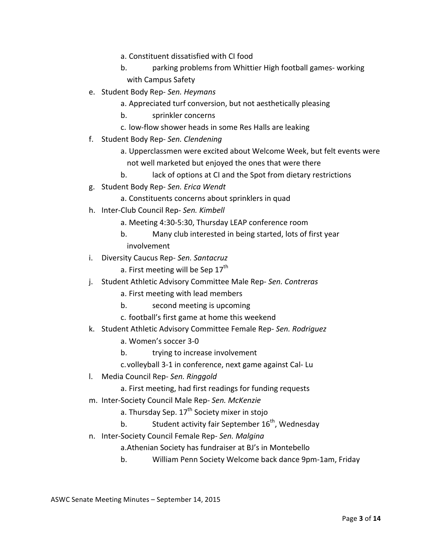- a. Constituent dissatisfied with CI food
- b. parking problems from Whittier High football games- working with Campus Safety
- e. Student Body Rep- *Sen. Heymans*
	- a. Appreciated turf conversion, but not aesthetically pleasing
	- b. sprinkler concerns
	- c. low-flow shower heads in some Res Halls are leaking
- f. Student Body Rep- *Sen. Clendening*
	- a. Upperclassmen were excited about Welcome Week, but felt events were not well marketed but enjoyed the ones that were there
	- b. lack of options at CI and the Spot from dietary restrictions
- g. Student Body Rep- *Sen. Erica Wendt*
	- a. Constituents concerns about sprinklers in quad
- h. Inter-Club Council Rep- *Sen. Kimbell*
	- a. Meeting 4:30-5:30, Thursday LEAP conference room
	- b. Many club interested in being started, lots of first year involvement
- i. Diversity Caucus Rep- Sen. Santacruz
	- a. First meeting will be Sep  $17<sup>th</sup>$
- j. Student Athletic Advisory Committee Male Rep- Sen. Contreras
	- a. First meeting with lead members
	- b. second meeting is upcoming
	- c. football's first game at home this weekend
- k. Student Athletic Advisory Committee Female Rep- Sen. Rodriguez
	- a. Women's soccer 3-0
	- b. trying to increase involvement
	- c.volleyball 3-1 in conference, next game against Cal- Lu
- l. Media Council Rep- *Sen. Ringgold* 
	- a. First meeting, had first readings for funding requests
- m. Inter-Society Council Male Rep- *Sen. McKenzie*
	- a. Thursday Sep.  $17<sup>th</sup>$  Society mixer in stojo
	- b. Student activity fair September  $16^{th}$ , Wednesday
- n. Inter-Society Council Female Rep- *Sen. Malgina*
	- a. Athenian Society has fundraiser at BJ's in Montebello
	- b. William Penn Society Welcome back dance 9pm-1am, Friday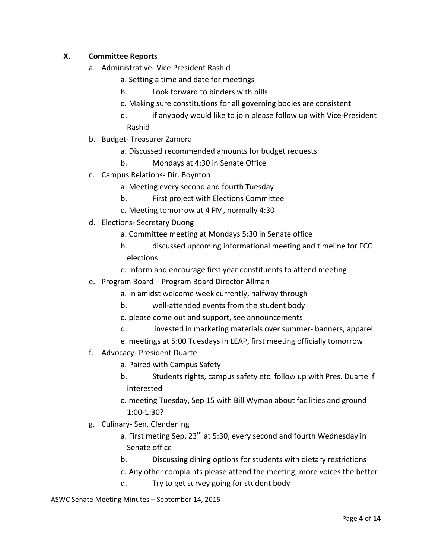# **X. Committee Reports**

- a. Administrative- Vice President Rashid
	- a. Setting a time and date for meetings
	- b. Look forward to binders with bills
	- c. Making sure constitutions for all governing bodies are consistent
	- d. if anybody would like to join please follow up with Vice-President Rashid
- b. Budget- Treasurer Zamora
	- a. Discussed recommended amounts for budget requests
	- b. Mondays at 4:30 in Senate Office
- c. Campus Relations- Dir. Boynton
	- a. Meeting every second and fourth Tuesday
	- b. First project with Elections Committee
	- c. Meeting tomorrow at 4 PM, normally 4:30
- d. Elections- Secretary Duong
	- a. Committee meeting at Mondays 5:30 in Senate office
	- b. discussed upcoming informational meeting and timeline for FCC elections
	- c. Inform and encourage first year constituents to attend meeting
- e. Program Board Program Board Director Allman
	- a. In amidst welcome week currently, halfway through
	- b. well-attended events from the student body
	- c. please come out and support, see announcements
	- d. invested in marketing materials over summer- banners, apparel
	- e. meetings at 5:00 Tuesdays in LEAP, first meeting officially tomorrow
- f. Advocacy- President Duarte
	- a. Paired with Campus Safety
	- b. Students rights, campus safety etc. follow up with Pres. Duarte if interested
	- c. meeting Tuesday, Sep 15 with Bill Wyman about facilities and ground 1:00-1:30?
- g. Culinary- Sen. Clendening
	- a. First meting Sep.  $23^{rd}$  at 5:30, every second and fourth Wednesday in Senate office
	- b. Discussing dining options for students with dietary restrictions
	- c. Any other complaints please attend the meeting, more voices the better
	- d. Try to get survey going for student body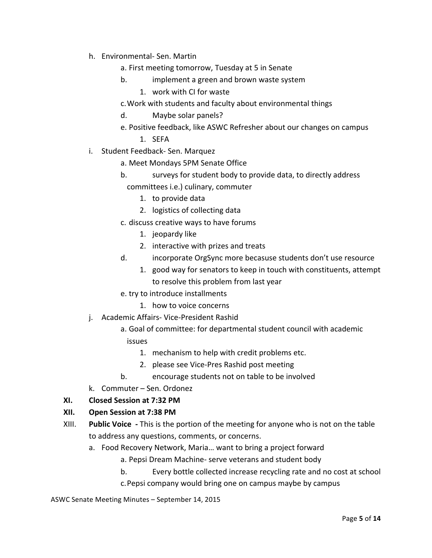- h. Environmental- Sen. Martin
	- a. First meeting tomorrow, Tuesday at 5 in Senate
	- b. **implement** a green and brown waste system
		- 1. work with CI for waste
	- c. Work with students and faculty about environmental things
	- d. Maybe solar panels?
	- e. Positive feedback, like ASWC Refresher about our changes on campus
		- 1. SEFA
- i. Student Feedback- Sen. Marquez
	- a. Meet Mondays 5PM Senate Office
	- b. surveys for student body to provide data, to directly address committees i.e.) culinary, commuter
		- 1. to provide data
		- 2. logistics of collecting data
	- c. discuss creative ways to have forums
		- 1. jeopardy like
		- 2. interactive with prizes and treats
	- d. incorporate OrgSync more becasuse students don't use resource
		- 1. good way for senators to keep in touch with constituents, attempt to resolve this problem from last year
	- e. try to introduce installments
		- 1. how to voice concerns
- j. Academic Affairs- Vice-President Rashid
	- a. Goal of committee: for departmental student council with academic issues
		- 1. mechanism to help with credit problems etc.
		- 2. please see Vice-Pres Rashid post meeting
	- b. encourage students not on table to be involved
- k. Commuter Sen. Ordonez

## **XI. Closed Session at 7:32 PM**

## **XII.** Open Session at 7:38 PM

- XIII. Public Voice This is the portion of the meeting for anyone who is not on the table to address any questions, comments, or concerns.
	- a. Food Recovery Network, Maria... want to bring a project forward

a. Pepsi Dream Machine- serve veterans and student body

b. Every bottle collected increase recycling rate and no cost at school c. Pepsi company would bring one on campus maybe by campus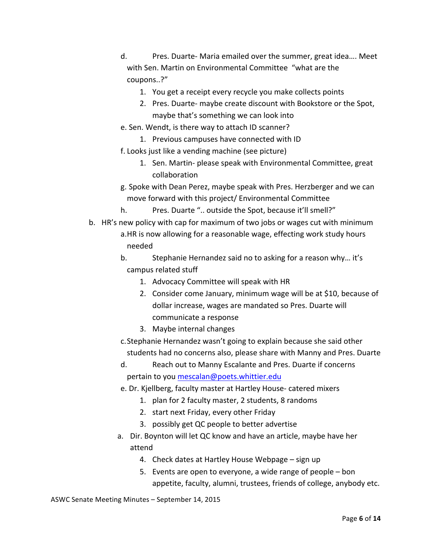- d. Pres. Duarte- Maria emailed over the summer, great idea.... Meet with Sen. Martin on Environmental Committee "what are the coupons..?"
	- 1. You get a receipt every recycle you make collects points
	- 2. Pres. Duarte- maybe create discount with Bookstore or the Spot, maybe that's something we can look into
- e. Sen. Wendt, is there way to attach ID scanner?
	- 1. Previous campuses have connected with ID
- f. Looks just like a vending machine (see picture)
	- 1. Sen. Martin- please speak with Environmental Committee, great collaboration
- g. Spoke with Dean Perez, maybe speak with Pres. Herzberger and we can move forward with this project/ Environmental Committee
- h. Pres. Duarte ".. outside the Spot, because it'll smell?"
- b. HR's new policy with cap for maximum of two jobs or wages cut with minimum a.HR is now allowing for a reasonable wage, effecting work study hours needed
	- b. Stephanie Hernandez said no to asking for a reason why... it's campus related stuff
		- 1. Advocacy Committee will speak with HR
		- 2. Consider come January, minimum wage will be at \$10, because of dollar increase, wages are mandated so Pres. Duarte will communicate a response
		- 3. Maybe internal changes
	- c. Stephanie Hernandez wasn't going to explain because she said other students had no concerns also, please share with Manny and Pres. Duarte
	- d. Reach out to Manny Escalante and Pres. Duarte if concerns pertain to you mescalan@poets.whittier.edu
	- e. Dr. Kjellberg, faculty master at Hartley House- catered mixers
		- 1. plan for 2 faculty master, 2 students, 8 randoms
		- 2. start next Friday, every other Friday
		- 3. possibly get QC people to better advertise
	- a. Dir. Boynton will let QC know and have an article, maybe have her attend
		- 4. Check dates at Hartley House Webpage sign up
		- 5. Events are open to everyone, a wide range of people  $-$  bon appetite, faculty, alumni, trustees, friends of college, anybody etc.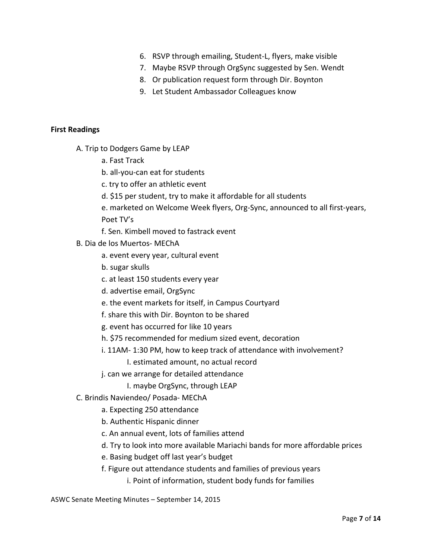- 6. RSVP through emailing, Student-L, flyers, make visible
- 7. Maybe RSVP through OrgSync suggested by Sen. Wendt
- 8. Or publication request form through Dir. Boynton
- 9. Let Student Ambassador Colleagues know

## **First Readings**

- A. Trip to Dodgers Game by LEAP
	- a. Fast Track
	- b. all-you-can eat for students
	- c. try to offer an athletic event
	- d. \$15 per student, try to make it affordable for all students
	- e. marketed on Welcome Week flyers, Org-Sync, announced to all first-years, Poet TV's
	- f. Sen. Kimbell moved to fastrack event
- B. Dia de los Muertos- MEChA
	- a. event every year, cultural event
	- b. sugar skulls
	- c. at least 150 students every year
	- d. advertise email, OrgSync
	- e. the event markets for itself, in Campus Courtyard
	- f. share this with Dir. Boynton to be shared
	- g. event has occurred for like 10 years
	- h. \$75 recommended for medium sized event, decoration
	- i. 11AM- 1:30 PM, how to keep track of attendance with involvement?
		- I. estimated amount, no actual record
	- j. can we arrange for detailed attendance
		- I. maybe OrgSync, through LEAP

## C. Brindis Naviendeo/ Posada- MEChA

- a. Expecting 250 attendance
- b. Authentic Hispanic dinner
- c. An annual event, lots of families attend
- d. Try to look into more available Mariachi bands for more affordable prices
- e. Basing budget off last year's budget
- f. Figure out attendance students and families of previous years
	- i. Point of information, student body funds for families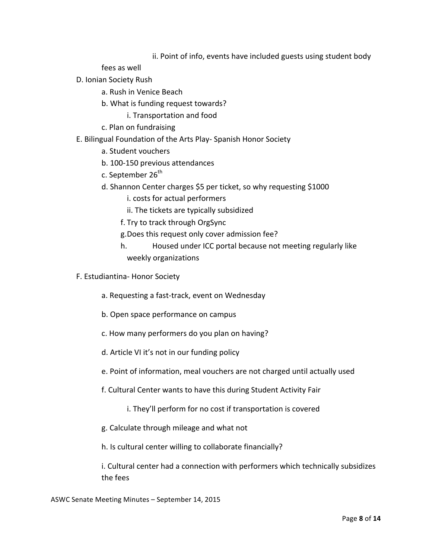## ii. Point of info, events have included guests using student body

fees as well

- D. Ionian Society Rush
	- a. Rush in Venice Beach
	- b. What is funding request towards?
		- i. Transportation and food
	- c. Plan on fundraising
- E. Bilingual Foundation of the Arts Play- Spanish Honor Society
	- a. Student vouchers
	- b. 100-150 previous attendances
	- c. September 26<sup>th</sup>
	- d. Shannon Center charges \$5 per ticket, so why requesting \$1000
		- i. costs for actual performers
		- ii. The tickets are typically subsidized
		- f. Try to track through OrgSync
		- g. Does this request only cover admission fee?
		- h. Housed under ICC portal because not meeting regularly like weekly organizations
- F. Estudiantina- Honor Society
	- a. Requesting a fast-track, event on Wednesday
	- b. Open space performance on campus
	- c. How many performers do you plan on having?
	- d. Article VI it's not in our funding policy
	- e. Point of information, meal vouchers are not charged until actually used
	- f. Cultural Center wants to have this during Student Activity Fair
		- i. They'll perform for no cost if transportation is covered
	- g. Calculate through mileage and what not

h. Is cultural center willing to collaborate financially?

i. Cultural center had a connection with performers which technically subsidizes the fees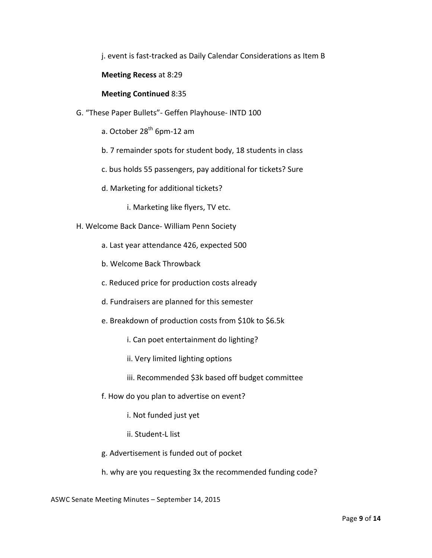j. event is fast-tracked as Daily Calendar Considerations as Item B

**Meeting Recess** at 8:29

**Meeting Continued** 8:35

- G. "These Paper Bullets"- Geffen Playhouse- INTD 100
	- a. October  $28<sup>th</sup>$  6pm-12 am
	- b. 7 remainder spots for student body, 18 students in class
	- c. bus holds 55 passengers, pay additional for tickets? Sure
	- d. Marketing for additional tickets?
		- i. Marketing like flyers, TV etc.
- H. Welcome Back Dance- William Penn Society
	- a. Last year attendance 426, expected 500
	- b. Welcome Back Throwback
	- c. Reduced price for production costs already
	- d. Fundraisers are planned for this semester
	- e. Breakdown of production costs from \$10k to \$6.5k
		- i. Can poet entertainment do lighting?
		- ii. Very limited lighting options
		- iii. Recommended \$3k based off budget committee
	- f. How do you plan to advertise on event?
		- i. Not funded just yet
		- ii. Student-L list
	- g. Advertisement is funded out of pocket
	- h. why are you requesting 3x the recommended funding code?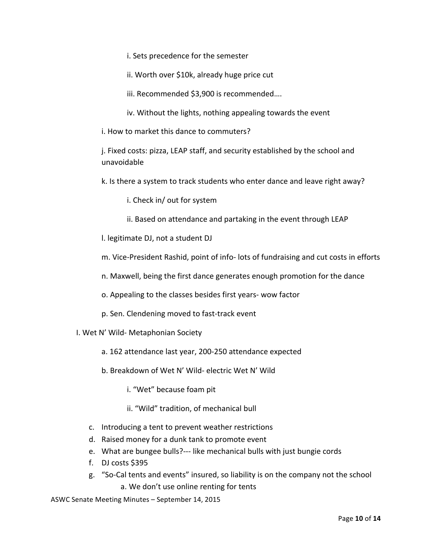i. Sets precedence for the semester

ii. Worth over \$10k, already huge price cut

iii. Recommended \$3,900 is recommended....

iv. Without the lights, nothing appealing towards the event

i. How to market this dance to commuters?

j. Fixed costs: pizza, LEAP staff, and security established by the school and unavoidable 

k. Is there a system to track students who enter dance and leave right away?

i. Check in/ out for system

ii. Based on attendance and partaking in the event through LEAP

l. legitimate DJ, not a student DJ

m. Vice-President Rashid, point of info- lots of fundraising and cut costs in efforts

n. Maxwell, being the first dance generates enough promotion for the dance

o. Appealing to the classes besides first years- wow factor

p. Sen. Clendening moved to fast-track event

I. Wet N' Wild- Metaphonian Society

a. 162 attendance last year, 200-250 attendance expected

b. Breakdown of Wet N' Wild- electric Wet N' Wild

i. "Wet" because foam pit

ii. "Wild" tradition, of mechanical bull

- c. Introducing a tent to prevent weather restrictions
- d. Raised money for a dunk tank to promote event
- e. What are bungee bulls?--- like mechanical bulls with just bungie cords
- f. DJ costs \$395
- g. "So-Cal tents and events" insured, so liability is on the company not the school a. We don't use online renting for tents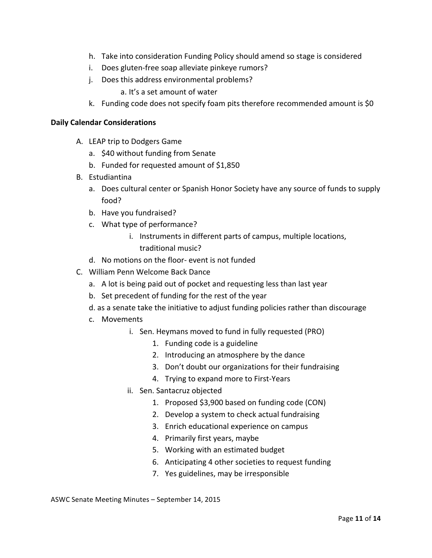- h. Take into consideration Funding Policy should amend so stage is considered
- i. Does gluten-free soap alleviate pinkeye rumors?
- j. Does this address environmental problems?

a. It's a set amount of water

k. Funding code does not specify foam pits therefore recommended amount is \$0

### **Daily Calendar Considerations**

- A. LEAP trip to Dodgers Game
	- a. \$40 without funding from Senate
	- b. Funded for requested amount of  $$1,850$
- B. Estudiantina
	- a. Does cultural center or Spanish Honor Society have any source of funds to supply food?
	- b. Have you fundraised?
	- c. What type of performance?
		- i. Instruments in different parts of campus, multiple locations, traditional music?
	- d. No motions on the floor- event is not funded
- C. William Penn Welcome Back Dance
	- a. A lot is being paid out of pocket and requesting less than last year
	- b. Set precedent of funding for the rest of the year
	- d. as a senate take the initiative to adjust funding policies rather than discourage
	- c. Movements
		- i. Sen. Heymans moved to fund in fully requested (PRO)
			- 1. Funding code is a guideline
			- 2. Introducing an atmosphere by the dance
			- 3. Don't doubt our organizations for their fundraising
			- 4. Trying to expand more to First-Years
		- ii. Sen. Santacruz objected
			- 1. Proposed \$3,900 based on funding code (CON)
			- 2. Develop a system to check actual fundraising
			- 3. Enrich educational experience on campus
			- 4. Primarily first years, maybe
			- 5. Working with an estimated budget
			- 6. Anticipating 4 other societies to request funding
			- 7. Yes guidelines, may be irresponsible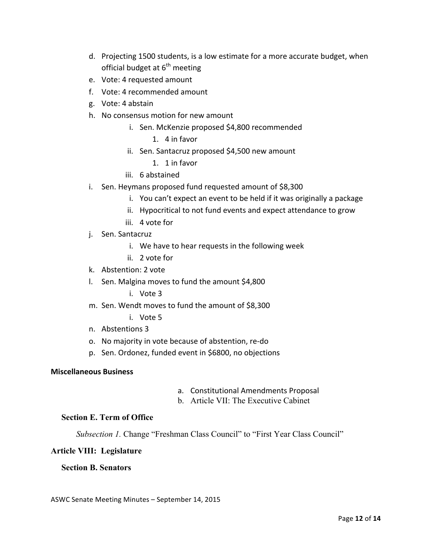- d. Projecting 1500 students, is a low estimate for a more accurate budget, when official budget at  $6^{th}$  meeting
- e. Vote: 4 requested amount
- f. Vote: 4 recommended amount
- g. Vote: 4 abstain
- h. No consensus motion for new amount
	- i. Sen. McKenzie proposed \$4,800 recommended
		- 1. 4 in favor
	- ii. Sen. Santacruz proposed \$4,500 new amount
		- 1. 1 in favor
	- iii. 6 abstained
- i. Sen. Heymans proposed fund requested amount of \$8,300
	- i. You can't expect an event to be held if it was originally a package
	- ii. Hypocritical to not fund events and expect attendance to grow
	- iii. 4 vote for
- j. Sen. Santacruz
	- i. We have to hear requests in the following week
	- ii. 2 vote for
- k. Abstention: 2 vote
- l. Sen. Malgina moves to fund the amount \$4,800
	- i. Vote 3
- m. Sen. Wendt moves to fund the amount of \$8,300
	- i. Vote 5
- n. Abstentions 3
- o. No majority in vote because of abstention, re-do
- p. Sen. Ordonez, funded event in \$6800, no objections

### **Miscellaneous Business**

- a. Constitutional Amendments Proposal
- b. Article VII: The Executive Cabinet

#### **Section E. Term of Office**

*Subsection 1.* Change "Freshman Class Council" to "First Year Class Council"

#### **Article VIII: Legislature**

#### **Section B. Senators**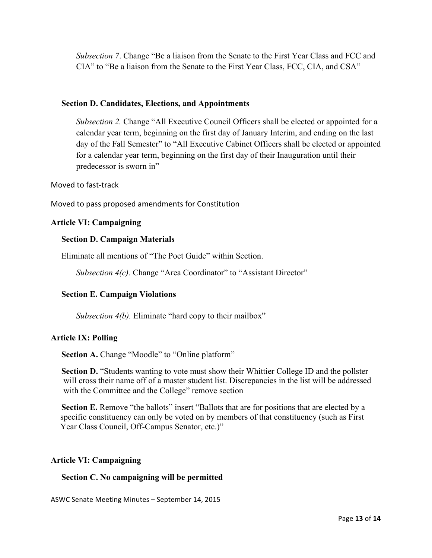*Subsection 7*. Change "Be a liaison from the Senate to the First Year Class and FCC and CIA" to "Be a liaison from the Senate to the First Year Class, FCC, CIA, and CSA"

## **Section D. Candidates, Elections, and Appointments**

*Subsection 2.* Change "All Executive Council Officers shall be elected or appointed for a calendar year term, beginning on the first day of January Interim, and ending on the last day of the Fall Semester" to "All Executive Cabinet Officers shall be elected or appointed for a calendar year term, beginning on the first day of their Inauguration until their predecessor is sworn in"

#### Moved to fast-track

Moved to pass proposed amendments for Constitution

## **Article VI: Campaigning**

### **Section D. Campaign Materials**

Eliminate all mentions of "The Poet Guide" within Section.

*Subsection 4(c).* Change "Area Coordinator" to "Assistant Director"

## **Section E. Campaign Violations**

*Subsection 4(b).* Eliminate "hard copy to their mailbox"

## **Article IX: Polling**

**Section A.** Change "Moodle" to "Online platform"

**Section D.** "Students wanting to vote must show their Whittier College ID and the pollster will cross their name off of a master student list. Discrepancies in the list will be addressed with the Committee and the College" remove section

**Section E.** Remove "the ballots" insert "Ballots that are for positions that are elected by a specific constituency can only be voted on by members of that constituency (such as First Year Class Council, Off-Campus Senator, etc.)"

#### **Article VI: Campaigning**

#### **Section C. No campaigning will be permitted**